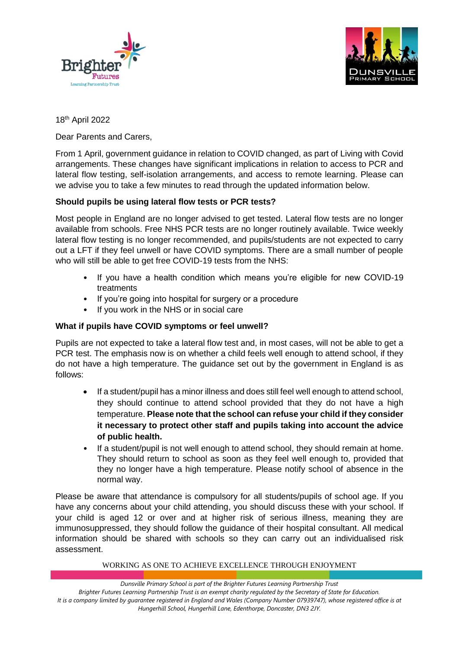



18th April 2022

Dear Parents and Carers,

From 1 April, government guidance in relation to COVID changed, as part of Living with Covid arrangements. These changes have significant implications in relation to access to PCR and lateral flow testing, self-isolation arrangements, and access to remote learning. Please can we advise you to take a few minutes to read through the updated information below.

# **Should pupils be using lateral flow tests or PCR tests?**

Most people in England are no longer advised to get tested. Lateral flow tests are no longer available from schools. Free NHS PCR tests are no longer routinely available. Twice weekly lateral flow testing is no longer recommended, and pupils/students are not expected to carry out a LFT if they feel unwell or have COVID symptoms. There are a small number of people who will still be able to get free COVID-19 tests from the NHS:

- If you have a health condition which means you're eligible for new COVID-19 treatments
- If you're going into hospital for surgery or a procedure
- If you work in the NHS or in social care

# **What if pupils have COVID symptoms or feel unwell?**

Pupils are not expected to take a lateral flow test and, in most cases, will not be able to get a PCR test. The emphasis now is on whether a child feels well enough to attend school, if they do not have a high temperature. The guidance set out by the government in England is as follows:

- If a student/pupil has a minor illness and does still feel well enough to attend school, they should continue to attend school provided that they do not have a high temperature. **Please note that the school can refuse your child if they consider it necessary to protect other staff and pupils taking into account the advice of public health.**
- If a student/pupil is not well enough to attend school, they should remain at home. They should return to school as soon as they feel well enough to, provided that they no longer have a high temperature. Please notify school of absence in the normal way.

Please be aware that attendance is compulsory for all students/pupils of school age. If you have any concerns about your child attending, you should discuss these with your school. If your child is aged 12 or over and at higher risk of serious illness, meaning they are immunosuppressed, they should follow the guidance of their hospital consultant. All medical information should be shared with schools so they can carry out an individualised risk assessment.

#### WORKING AS ONE TO ACHIEVE EXCELLENCE THROUGH ENJOYMENT

*Dunsville Primary School is part of the Brighter Futures Learning Partnership Trust Brighter Futures Learning Partnership Trust is an exempt charity regulated by the Secretary of State for Education. It is a company limited by guarantee registered in England and Wales (Company Number 07939747), whose registered office is at Hungerhill School, Hungerhill Lane, Edenthorpe, Doncaster, DN3 2JY.*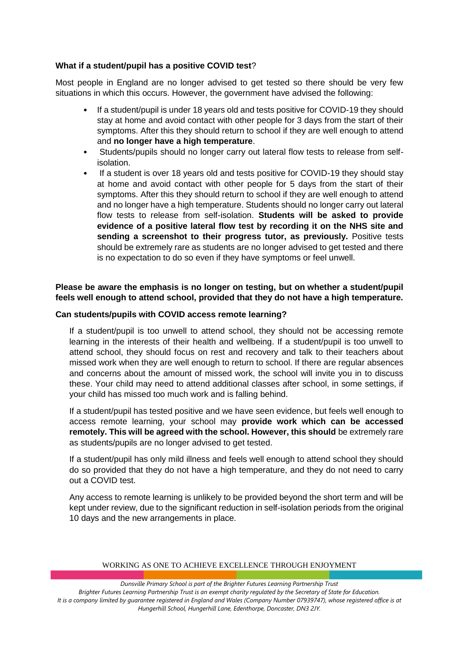## **What if a student/pupil has a positive COVID test**?

Most people in England are no longer advised to get tested so there should be very few situations in which this occurs. However, the government have advised the following:

- If a student/pupil is under 18 years old and tests positive for COVID-19 they should stay at home and avoid contact with other people for 3 days from the start of their symptoms. After this they should return to school if they are well enough to attend and **no longer have a high temperature**.
- Students/pupils should no longer carry out lateral flow tests to release from selfisolation.
- If a student is over 18 years old and tests positive for COVID-19 they should stay at home and avoid contact with other people for 5 days from the start of their symptoms. After this they should return to school if they are well enough to attend and no longer have a high temperature. Students should no longer carry out lateral flow tests to release from self-isolation. **Students will be asked to provide evidence of a positive lateral flow test by recording it on the NHS site and sending a screenshot to their progress tutor, as previously.** Positive tests should be extremely rare as students are no longer advised to get tested and there is no expectation to do so even if they have symptoms or feel unwell.

## **Please be aware the emphasis is no longer on testing, but on whether a student/pupil feels well enough to attend school, provided that they do not have a high temperature.**

### **Can students/pupils with COVID access remote learning?**

If a student/pupil is too unwell to attend school, they should not be accessing remote learning in the interests of their health and wellbeing. If a student/pupil is too unwell to attend school, they should focus on rest and recovery and talk to their teachers about missed work when they are well enough to return to school. If there are regular absences and concerns about the amount of missed work, the school will invite you in to discuss these. Your child may need to attend additional classes after school, in some settings, if your child has missed too much work and is falling behind.

If a student/pupil has tested positive and we have seen evidence, but feels well enough to access remote learning, your school may **provide work which can be accessed remotely. This will be agreed with the school. However, this should** be extremely rare as students/pupils are no longer advised to get tested.

If a student/pupil has only mild illness and feels well enough to attend school they should do so provided that they do not have a high temperature, and they do not need to carry out a COVID test.

Any access to remote learning is unlikely to be provided beyond the short term and will be kept under review, due to the significant reduction in self-isolation periods from the original 10 days and the new arrangements in place.

#### WORKING AS ONE TO ACHIEVE EXCELLENCE THROUGH ENJOYMENT

*Dunsville Primary School is part of the Brighter Futures Learning Partnership Trust Brighter Futures Learning Partnership Trust is an exempt charity regulated by the Secretary of State for Education. It is a company limited by guarantee registered in England and Wales (Company Number 07939747), whose registered office is at Hungerhill School, Hungerhill Lane, Edenthorpe, Doncaster, DN3 2JY.*